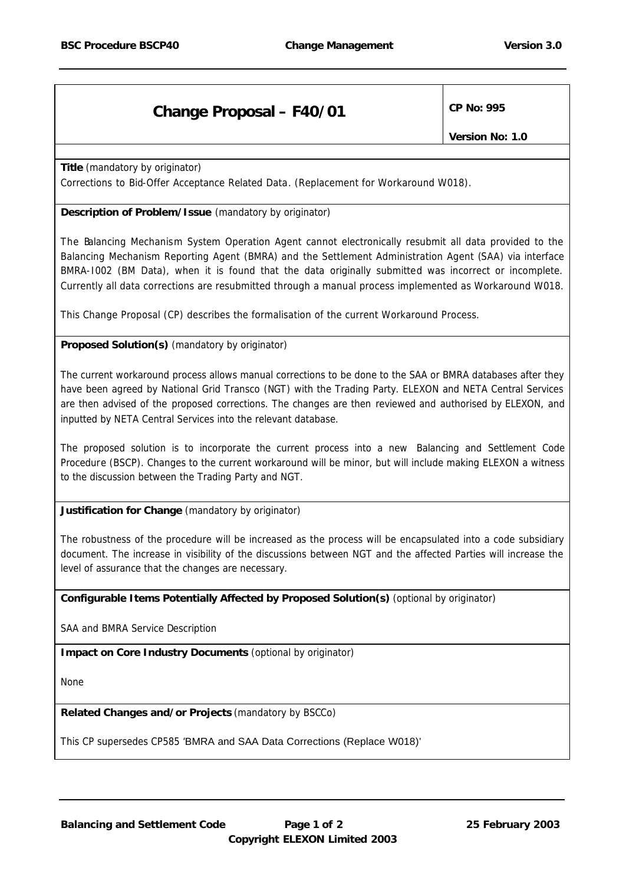## **Change Proposal – F40/01**  $\vert$  CP No: 995

*Version No: 1.0*

**Title** *(mandatory by originator)* Corrections to Bid-Offer Acceptance Related Data. (Replacement for Workaround W018).

## **Description of Problem/Issue** *(mandatory by originator)*

The Balancing Mechanism System Operation Agent cannot electronically resubmit all data provided to the Balancing Mechanism Reporting Agent (BMRA) and the Settlement Administration Agent (SAA) via interface BMRA-I002 (BM Data), when it is found that the data originally submitted was incorrect or incomplete. Currently all data corrections are resubmitted through a manual process implemented as Workaround W018.

This Change Proposal (CP) describes the formalisation of the current Workaround Process.

## **Proposed Solution(s)** *(mandatory by originator)*

The current workaround process allows manual corrections to be done to the SAA or BMRA databases after they have been agreed by National Grid Transco (NGT) with the Trading Party. ELEXON and NETA Central Services are then advised of the proposed corrections. The changes are then reviewed and authorised by ELEXON, and inputted by NETA Central Services into the relevant database.

The proposed solution is to incorporate the current process into a new Balancing and Settlement Code Procedure (BSCP). Changes to the current workaround will be minor, but will include making ELEXON a witness to the discussion between the Trading Party and NGT.

**Justification for Change** *(mandatory by originator)*

The robustness of the procedure will be increased as the process will be encapsulated into a code subsidiary document. The increase in visibility of the discussions between NGT and the affected Parties will increase the level of assurance that the changes are necessary.

**Configurable Items Potentially Affected by Proposed Solution(s)** *(optional by originator)*

SAA and BMRA Service Description

**Impact on Core Industry Documents** *(optional by originator)*

None

**Related Changes and/or Projects** *(mandatory by BSCCo)*

This CP supersedes CP585 'BMRA and SAA Data Corrections (Replace W018)'